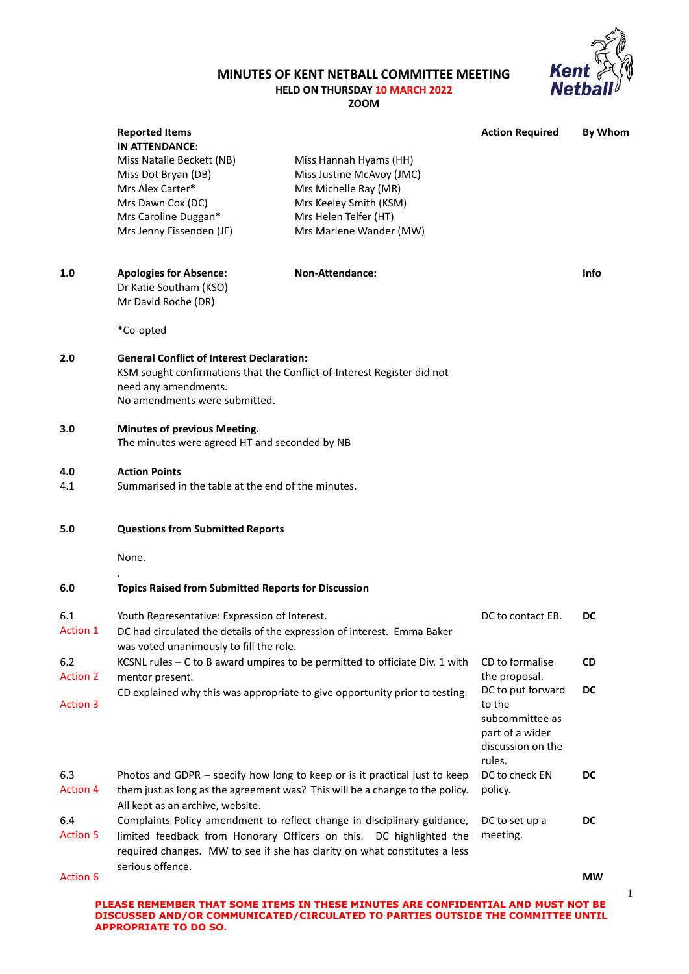## **MINUTES OF KENT NETBALL COMMITTEE MEETING**



1

**HELD ON THURSDAY 10 MARCH 2022 ZOOM**

|                        | <b>Reported Items</b><br><b>IN ATTENDANCE:</b>                                                                                                                                       |                                                                                                                                                                                                                             | <b>Action Required</b>                                                                           | <b>By Whom</b> |  |
|------------------------|--------------------------------------------------------------------------------------------------------------------------------------------------------------------------------------|-----------------------------------------------------------------------------------------------------------------------------------------------------------------------------------------------------------------------------|--------------------------------------------------------------------------------------------------|----------------|--|
|                        | Miss Natalie Beckett (NB)<br>Miss Dot Bryan (DB)<br>Mrs Alex Carter*<br>Mrs Dawn Cox (DC)<br>Mrs Caroline Duggan*<br>Mrs Jenny Fissenden (JF)                                        | Miss Hannah Hyams (HH)<br>Miss Justine McAvoy (JMC)<br>Mrs Michelle Ray (MR)<br>Mrs Keeley Smith (KSM)<br>Mrs Helen Telfer (HT)<br>Mrs Marlene Wander (MW)                                                                  |                                                                                                  |                |  |
| 1.0                    | <b>Apologies for Absence:</b><br>Dr Katie Southam (KSO)<br>Mr David Roche (DR)                                                                                                       | Non-Attendance:                                                                                                                                                                                                             |                                                                                                  | Info           |  |
|                        | *Co-opted                                                                                                                                                                            |                                                                                                                                                                                                                             |                                                                                                  |                |  |
| 2.0                    | <b>General Conflict of Interest Declaration:</b><br>KSM sought confirmations that the Conflict-of-Interest Register did not<br>need any amendments.<br>No amendments were submitted. |                                                                                                                                                                                                                             |                                                                                                  |                |  |
| 3.0                    | Minutes of previous Meeting.<br>The minutes were agreed HT and seconded by NB                                                                                                        |                                                                                                                                                                                                                             |                                                                                                  |                |  |
| 4.0<br>4.1             | <b>Action Points</b><br>Summarised in the table at the end of the minutes.                                                                                                           |                                                                                                                                                                                                                             |                                                                                                  |                |  |
| 5.0                    | <b>Questions from Submitted Reports</b>                                                                                                                                              |                                                                                                                                                                                                                             |                                                                                                  |                |  |
|                        | None.                                                                                                                                                                                |                                                                                                                                                                                                                             |                                                                                                  |                |  |
| 6.0                    | <b>Topics Raised from Submitted Reports for Discussion</b>                                                                                                                           |                                                                                                                                                                                                                             |                                                                                                  |                |  |
| 6.1<br><b>Action 1</b> | Youth Representative: Expression of Interest.<br>DC had circulated the details of the expression of interest. Emma Baker<br>was voted unanimously to fill the role.                  |                                                                                                                                                                                                                             | DC to contact EB.                                                                                | DC             |  |
| 6.2<br><b>Action 2</b> | mentor present.                                                                                                                                                                      | KCSNL rules - C to B award umpires to be permitted to officiate Div. 1 with                                                                                                                                                 | CD to formalise<br>the proposal.                                                                 | <b>CD</b>      |  |
| <b>Action 3</b>        |                                                                                                                                                                                      | CD explained why this was appropriate to give opportunity prior to testing.                                                                                                                                                 | DC to put forward<br>to the<br>subcommittee as<br>part of a wider<br>discussion on the<br>rules. | DC             |  |
| 6.3<br><b>Action 4</b> | All kept as an archive, website.                                                                                                                                                     | Photos and GDPR - specify how long to keep or is it practical just to keep<br>them just as long as the agreement was? This will be a change to the policy.                                                                  | DC to check EN<br>policy.                                                                        | DC             |  |
| 6.4<br><b>Action 5</b> |                                                                                                                                                                                      | Complaints Policy amendment to reflect change in disciplinary guidance,<br>limited feedback from Honorary Officers on this. DC highlighted the<br>required changes. MW to see if she has clarity on what constitutes a less | DC to set up a<br>meeting.                                                                       | DC             |  |
| <b>Action 6</b>        | serious offence.                                                                                                                                                                     |                                                                                                                                                                                                                             |                                                                                                  | <b>MW</b>      |  |
|                        |                                                                                                                                                                                      |                                                                                                                                                                                                                             |                                                                                                  |                |  |

**PLEASE REMEMBER THAT SOME ITEMS IN THESE MINUTES ARE CONFIDENTIAL AND MUST NOT BE DISCUSSED AND/OR COMMUNICATED/CIRCULATED TO PARTIES OUTSIDE THE COMMITTEE UNTIL APPROPRIATE TO DO SO.**